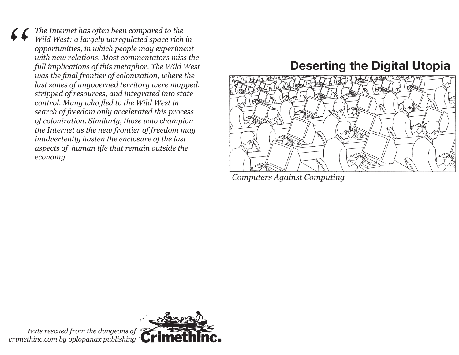*The Internet has often been compared to the Wild West: a largely unregulated space rich in opportunities, in which people may experiment with new relations. Most commentators miss the full implications of this metaphor. The Wild West was the final frontier of colonization, where the last zones of ungoverned territory were mapped, stripped of resources, and integrated into state control. Many who fled to the Wild West in search of freedom only accelerated this process of colonization. Similarly, those who champion the Internet as the new frontier of freedom may inadvertently hasten the enclosure of the last aspects of human life that remain outside the economy.*

# **Deserting the Digital Utopia**



*Computers Against Computing*

*texts rescued from the dungeons of crimethinc.com by oplopanax publishing*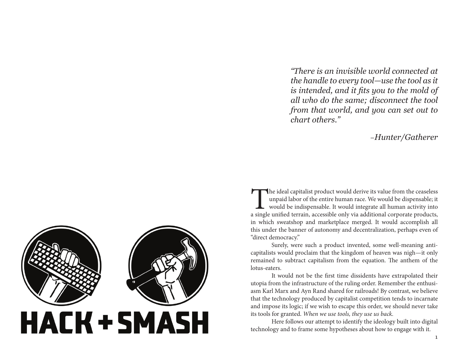*"There is an invisible world connected at the handle to every tool—use the tool as it is intended, and it fits you to the mold of all who do the same; disconnect the tool from that world, and you can set out to chart others."*

#### –*Hunter/Gatherer*

The ideal capitalist product would derive its value from the ceaseless unpaid labor of the entire human race. We would be dispensable, it would be indispensable. It would integrate all human activity into a single unified unpaid labor of the entire human race. We would be dispensable; it would be indispensable. It would integrate all human activity into a single unified terrain, accessible only via additional corporate products, in which sweatshop and marketplace merged. It would accomplish all this under the banner of autonomy and decentralization, perhaps even of "direct democracy."

Surely, were such a product invented, some well-meaning anticapitalists would proclaim that the kingdom of heaven was nigh—it only remained to subtract capitalism from the equation. The anthem of the lotus-eaters.

It would not be the first time dissidents have extrapolated their utopia from the infrastructure of the ruling order. Remember the enthusiasm Karl Marx and Ayn Rand shared for railroads! By contrast, we believe that the technology produced by capitalist competition tends to incarnate and impose its logic; if we wish to escape this order, we should never take its tools for granted. *When we use tools, they use us back.*

Here follows our attempt to identify the ideology built into digital technology and to frame some hypotheses about how to engage with it.

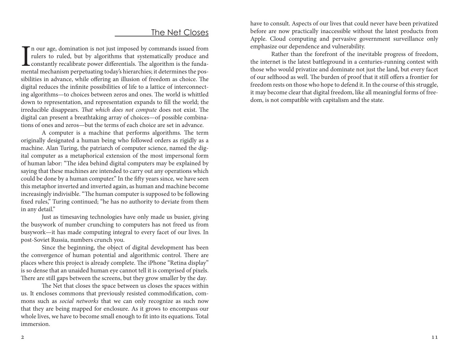### The Net Closes

I<sub>mer</sub> n our age, domination is not just imposed by commands issued from rulers to ruled, but by algorithms that systematically produce and constantly recalibrate power differentials. The algorithm is the fundamental mechanism perpetuating today's hierarchies; it determines the possibilities in advance, while offering an illusion of freedom as choice. The digital reduces the infinite possibilities of life to a lattice of interconnecting algorithms—to choices between zeros and ones. The world is whittled down to representation, and representation expands to fill the world; the irreducible disappears. *That which does not compute* does not exist. The digital can present a breathtaking array of choices—of possible combinations of ones and zeros—but the terms of each choice are set in advance.

A computer is a machine that performs algorithms. The term originally designated a human being who followed orders as rigidly as a machine. Alan Turing, the patriarch of computer science, named the digital computer as a metaphorical extension of the most impersonal form of human labor: "The idea behind digital computers may be explained by saying that these machines are intended to carry out any operations which could be done by a human computer." In the fifty years since, we have seen this metaphor inverted and inverted again, as human and machine become increasingly indivisible. "The human computer is supposed to be following fixed rules," Turing continued; "he has no authority to deviate from them in any detail."

Just as timesaving technologies have only made us busier, giving the busywork of number crunching to computers has not freed us from busywork—it has made computing integral to every facet of our lives. In post-Soviet Russia, numbers crunch you.

Since the beginning, the object of digital development has been the convergence of human potential and algorithmic control. There are places where this project is already complete. The iPhone "Retina display" is so dense that an unaided human eye cannot tell it is comprised of pixels. There are still gaps between the screens, but they grow smaller by the day.

The Net that closes the space between us closes the spaces within us. It encloses commons that previously resisted commodification, commons such as *social networks* that we can only recognize as such now that they are being mapped for enclosure. As it grows to encompass our whole lives, we have to become small enough to fit into its equations. Total immersion.

have to consult. Aspects of our lives that could never have been privatized before are now practically inaccessible without the latest products from Apple. Cloud computing and pervasive government surveillance only emphasize our dependence and vulnerability.

Rather than the forefront of the inevitable progress of freedom, the internet is the latest battleground in a centuries-running contest with those who would privatize and dominate not just the land, but every facet of our selfhood as well. The burden of proof that it still offers a frontier for freedom rests on those who hope to defend it. In the course of this struggle, it may become clear that digital freedom, like all meaningful forms of freedom, is not compatible with capitalism and the state.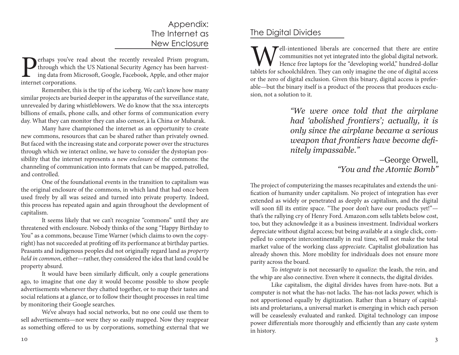# Appendix: The Internet as New Enclosure

**Perhaps you've read about the recently revealed Prism program,** through which the US National Security Agency has been harvesting data from Microsoft, Google, Facebook, Apple, and other major internet corporations. through which the US National Security Agency has been harvesting data from Microsoft, Google, Facebook, Apple, and other major internet corporations.

Remember, this is the tip of the iceberg. We can't know how many similar projects are buried deeper in the apparatus of the surveillance state, unrevealed by daring whistleblowers. We do know that the nsa intercepts billions of emails, phone calls, and other forms of communication every day. What they can monitor they can also censor, à la China or Mubarak.

Many have championed the internet as an opportunity to create new commons, resources that can be shared rather than privately owned. But faced with the increasing state and corporate power over the structures through which we interact online, we have to consider the dystopian possibility that the internet represents a new *enclosure* of the commons: the channeling of communication into formats that can be mapped, patrolled, and controlled.

One of the foundational events in the transition to capitalism was the original enclosure of the commons, in which land that had once been used freely by all was seized and turned into private property. Indeed, this process has repeated again and again throughout the development of capitalism.

It seems likely that we can't recognize "commons" until they are threatened with enclosure. Nobody thinks of the song "Happy Birthday to You" as a commons, because Time Warner (which claims to own the copyright) has not succeeded at profiting off its performance at birthday parties. Peasants and indigenous peoples did not originally regard land as *property held in common*, either—rather, they considered the idea that land could be property absurd.

It would have been similarly difficult, only a couple generations ago, to imagine that one day it would become possible to show people advertisements whenever they chatted together, or to map their tastes and social relations at a glance, or to follow their thought processes in real time by monitoring their Google searches.

We've always had social networks, but no one could use them to sell advertisements—nor were they so easily mapped. Now they reappear as something offered to us by corporations, something external that we

# The Digital Divides

Tell-intentioned liberals are concerned that there are entire communities not yet integrated into the global digital network. Hence free laptops for the "developing world," hundred-dollar tablets for schoolchildren. They can only imagine the one of digital access or the zero of digital exclusion. Given this binary, digital access is preferable—but the binary itself is a product of the process that produces exclusion, not a solution to it.

> *"We were once told that the airplane had 'abolished frontiers'; actually, it is only since the airplane became a serious weapon that frontiers have become definitely impassable."*

> > *–*George Orwell, *"You and the Atomic Bomb"*

The project of computerizing the masses recapitulates and extends the unification of humanity under capitalism. No project of integration has ever extended as widely or penetrated as deeply as capitalism, and the digital will soon fill its entire space. "The poor don't have our products yet!"that's the rallying cry of Henry Ford. Amazon.com sells tablets below cost, too, but they acknowledge it as a business investment. Individual workers depreciate without digital access; but being available at a single click, compelled to compete intercontinentally in real time, will not make the total market value of the working class *appreciate*. Capitalist globalization has already shown this. More mobility for individuals does not ensure more parity across the board.

To *integrate* is not necessarily to *equalize*: the leash, the rein, and the whip are also connective. Even where it connects, the digital divides.

Like capitalism, the digital divides haves from have-nots. But a computer is not what the has-not lacks. The has-not lacks *power,* which is not apportioned equally by digitization. Rather than a binary of capitalists and proletarians, a universal market is emerging in which each person will be ceaselessly evaluated and ranked. Digital technology can impose power differentials more thoroughly and efficiently than any caste system in history.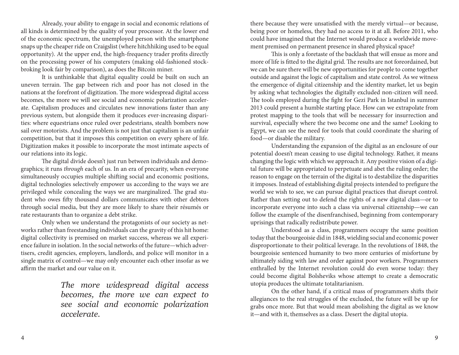Already, your ability to engage in social and economic relations of all kinds is determined by the quality of your processor. At the lower end of the economic spectrum, the unemployed person with the smartphone snaps up the cheaper ride on Craigslist (where hitchhiking used to be equal opportunity). At the upper end, the high-frequency trader profits directly on the processing power of his computers (making old-fashioned stockbroking look fair by comparison), as does the Bitcoin miner.

It is unthinkable that digital equality could be built on such an uneven terrain. The gap between rich and poor has not closed in the nations at the forefront of digitization. The more widespread digital access becomes, the more we will see social and economic polarization accelerate. Capitalism produces and circulates new innovations faster than any previous system, but alongside them it produces ever-increasing disparities: where equestrians once ruled over pedestrians, stealth bombers now sail over motorists. And the problem is not just that capitalism is an unfair competition, but that it imposes this competition on every sphere of life. Digitization makes it possible to incorporate the most intimate aspects of our relations into its logic.

The digital divide doesn't just run between individuals and demographics; it runs *through* each of us. In an era of precarity, when everyone simultaneously occupies multiple shifting social and economic positions, digital technologies selectively empower us according to the ways we are privileged while concealing the ways we are marginalized. The grad student who owes fifty thousand dollars communicates with other debtors through social media, but they are more likely to share their résumés or rate restaurants than to organize a debt strike.

Only when we understand the protagonists of our society as networks rather than freestanding individuals can the gravity of this hit home: digital collectivity is premised on market success, whereas we all experience failure in isolation. In the social networks of the future—which advertisers, credit agencies, employers, landlords, and police will monitor in a single matrix of control—we may only encounter each other insofar as we affirm the market and our value on it.

> *The more widespread digital access becomes, the more we can expect to see social and economic polarization accelerate.*

there because they were unsatisfied with the merely virtual—or because, being poor or homeless, they had no access to it at all. Before 2011, who could have imagined that the Internet would produce a worldwide movement premised on permanent presence in shared physical space?

This is only a foretaste of the backlash that will ensue as more and more of life is fitted to the digital grid. The results are not foreordained, but we can be sure there will be new opportunities for people to come together outside and against the logic of capitalism and state control. As we witness the emergence of digital citizenship and the identity market, let us begin by asking what technologies the digitally excluded non-citizen will need. The tools employed during the fight for Gezi Park in Istanbul in summer 2013 could present a humble starting place. How can we extrapolate from protest mapping to the tools that will be necessary for insurrection and survival, especially where the two become one and the same? Looking to Egypt, we can see the need for tools that could coordinate the sharing of food—or disable the military.

Understanding the expansion of the digital as an enclosure of our potential doesn't mean ceasing to use digital technology. Rather, it means changing the logic with which we approach it. Any positive vision of a digital future will be appropriated to perpetuate and abet the ruling order; the reason to engage on the terrain of the digital is to destabilize the disparities it imposes. Instead of establishing digital projects intended to prefigure the world we wish to see, we can pursue digital practices that disrupt control. Rather than setting out to defend the rights of a new digital class—or to incorporate everyone into such a class via universal citizenship—we can follow the example of the disenfranchised, beginning from contemporary uprisings that radically redistribute power.

Understood as a class, programmers occupy the same position today that the bourgeoisie did in 1848, wielding social and economic power disproportionate to their political leverage. In the revolutions of 1848, the bourgeoisie sentenced humanity to two more centuries of misfortune by ultimately siding with law and order against poor workers. Programmers enthralled by the Internet revolution could do even worse today: they could become digital Bolsheviks whose attempt to create a democratic utopia produces the ultimate totalitarianism.

On the other hand, if a critical mass of programmers shifts their allegiances to the real struggles of the excluded, the future will be up for grabs once more. But that would mean abolishing the digital as we know it—and with it, themselves as a class. Desert the digital utopia.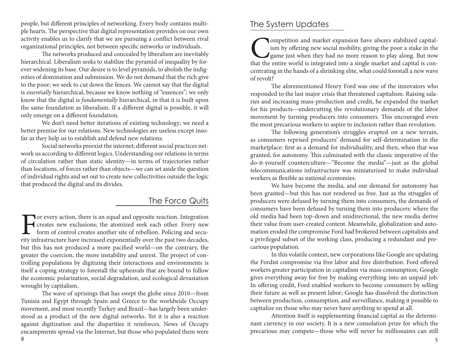people, but different principles of networking. Every body contains multiple hearts. The perspective that digital representation provides on our own activity enables us to clarify that we are pursuing a conflict between rival organizational principles, not between specific networks or individuals.

The networks produced and concealed by liberalism are inevitably hierarchical. Liberalism seeks to stabilize the pyramid of inequality by forever widening its base. Our desire is to level pyramids, to abolish the indignities of domination and submission. We do not demand that the rich give to the poor; we seek to cut down the fences. We cannot say that the digital is *essentially* hierarchical, because we know nothing of "essences"; we only know that the digital is *fundamentally* hierarchical, in that it is built upon the same foundation as liberalism. If a different digital is possible, it will only emerge on a different foundation.

We don't need better iterations of existing technology; we need a better premise for our relations. New technologies are useless except insofar as they help us to establish and defend new relations.

Social networks preexist the internet; different social practices network us according to different logics. Understanding our relations in terms of circulation rather than static identity—in terms of trajectories rather than locations, of forces rather than objects—we can set aside the question of individual rights and set out to create new collectivities outside the logic that produced the digital and its divides.

# The Force Quits

For every action, there is an equal and opposite reaction. Integration creates new exclusions; the atomized seek each other. Every new form of control creates another site of rebellion. Policing and security infrastructure creates new exclusions; the atomized seek each other. Every new **form** of control creates another site of rebellion. Policing and security infrastructure have increased exponentially over the past two decades, but this has not produced a more pacified world—on the contrary, the greater the coercion, the more instability and unrest. The project of controlling populations by digitizing their interactions and environments is itself a coping strategy to forestall the upheavals that are bound to follow the economic polarization, social degradation, and ecological devastation wrought by capitalism.

The wave of uprisings that has swept the globe since 2010—from Tunisia and Egypt through Spain and Greece to the worldwide Occupy movement, and most recently Turkey and Brazil—has largely been understood as a product of the new digital networks. Yet it is also a reaction against digitization and the disparities it reinforces. News of Occupy encampments spread via the Internet, but those who populated them were

### The System Updates

**Competition and market expansion have always stabilized capital-**<br>ism by offering new social mobility, giving the poor a stake in the<br>game just when they had no more reason to play along. But now<br>that the entire world is ism by offering new social mobility, giving the poor a stake in the game just when they had no more reason to play along. But now that the entire world is integrated into a single market and capital is concentrating in the hands of a shrinking elite, what could forestall a new wave of revolt?

The aforementioned Henry Ford was one of the innovators who responded to the last major crisis that threatened capitalism. Raising salaries and increasing mass-production and credit, he expanded the market for his products—undercutting the revolutionary demands of the labor movement by turning producers into consumers. This encouraged even the most precarious workers to aspire to inclusion rather than revolution.

The following generation's struggles erupted on a new terrain, as consumers reprised producers' demand for self-determination in the marketplace: first as a demand for individuality, and then, when that was granted, for autonomy. This culminated with the classic imperative of the do-it-yourself counterculture—"Become the media"—just as the global telecommunications infrastructure was miniaturized to make individual workers as flexible as national economies.

We have become the media, and our demand for autonomy has been granted—but this has not rendered us free. Just as the struggles of producers were defused by turning them into consumers, the demands of consumers have been defused by turning them into producers: where the old media had been top-down and unidirectional, the new media derive their value from user-created content. Meanwhile, globalization and automation eroded the compromise Ford had brokered between capitalists and a privileged subset of the working class, producing a redundant and precarious population.

In this volatile context, new corporations like Google are updating the Fordist compromise via free labor and free distribution. Ford offered workers greater participation in capitalism via mass consumption; Google gives everything away for free by making everything into an unpaid job. In offering credit, Ford enabled workers to become consumers by selling their future as well as present labor; Google has dissolved the distinction between production, consumption, and surveillance, making it possible to capitalize on those who may never have anything to spend at all.

Attention itself is supplementing financial capital as the determinant currency in our society. It is a new consolation prize for which the precarious may compete—those who will never be millionaires can still